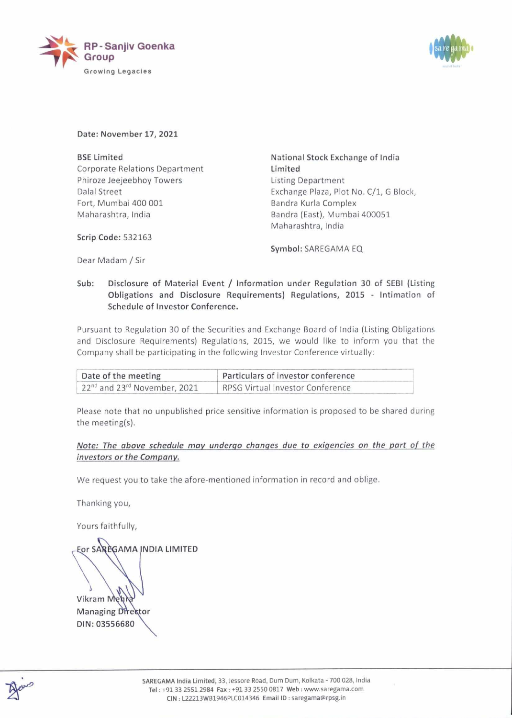



Date: November 17, 2021

BSE Limited Corporate Relations Department Phiroze Jeejeebhoy Towers Dalal Street Fort, Mumbai 400 001 Maharashtra, India **RP - Sanjiv Goenka**<br> **Group**<br>
Growing Legacies<br> **BSE Limited**<br>
Corporate Relations Department<br>
Phiroze Jeejeebhoy Towers<br>
Dalal Stret<br>
Fort, Mumbai 400 001<br>
Maharashtra, India<br> **Scrip Code:** 532163<br>
Dear Madam / Sir<br> **Sub** Group<br>
Growing Legacies<br>
SE Limited<br>
Corporate Relations Department<br>
hiroze Jeejeebhoy Towers<br>
balal Street<br>
ort, Mumbai 400 001<br>
Alaharashtra, India<br>
crip Code: 532163<br>
bear Madam / Sir<br>
ub: Disclosure of Material Event / Growing Legacies<br>
Date: November 17, 2021<br>
BSE Limited<br>
Corporate Relations Department<br>
Phiroze Jeejeebhoy Towers<br>
Dalal Street<br>
Fort, Mumbai 400 001<br>
Maharashtra, India<br>
Scrip Code: 532163<br>
Dear Madam / Sir<br>
Sub: Disclos Corporate Relations Department<br>
Phiroze Jeejeebhoy Towers<br>
Dalal Street<br>
Ford, Mumbai 400,0001<br>
Maharashtra, India<br>
Scrip Code: 532163<br>
Dear Madam / Sir<br>
Sub: Disclosure of Material Event / Infor<br>
Obligations and Disclosu

National Stock Exchange of India Limited Listing Department Exchange Plaza, Plot No. C/1, G Block, Bandra Kurla Complex Bandra (East), Mumbai 400051 Maharashtra, India

Scrip Code: 532163

Symbol: SAREGAMA EQ

Dear Madam / Sir

Sub: Disclosure of Material Event / Information under Regulation 30 of SEBI (Listing Obligations and Disclosure Requirements) Regulations, 2015 - Intimation of Schedule of Investor Conference.

Pursuant to Regulation 30 of the Securities and Exchange Board of India (Listing Obligations and Disclosure Requirements) Regulations, 2015, we would like to inform you that the Company shall be participating in the following Investor Conference virtually:

| Date of the meeting                                  | Particulars of investor conference |  |
|------------------------------------------------------|------------------------------------|--|
| 22 <sup>nd</sup> and 23 <sup>rd</sup> November, 2021 | RPSG Virtual Investor Conference   |  |

Please note that no unpublished price sensitive information is proposed to be shared during the meeting(s).

## Note: The above schedule may undergo changes due to exigencies on the part of the investors or the Company.

We request you to take the afore-mentioned information in record and oblige.

Thanking you,

Yours faithfully,

Eor SAREGAMA INDIA LIMITED

Vikram Meh **Managing Director** DIN: 03556680